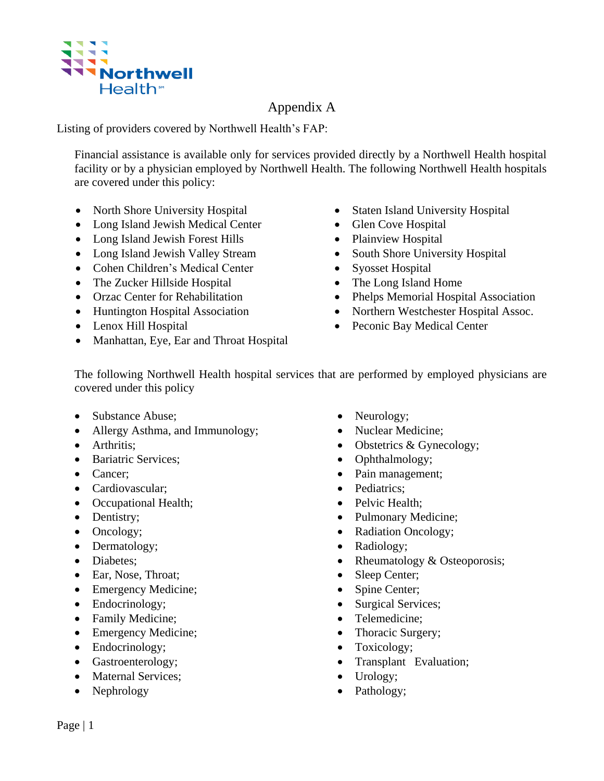

## Appendix A

Listing of providers covered by Northwell Health's FAP:

Financial assistance is available only for services provided directly by a Northwell Health hospital facility or by a physician employed by Northwell Health. The following Northwell Health hospitals are covered under this policy:

- North Shore University Hospital Staten Island University Hospital
- Long Island Jewish Medical Center Glen Cove Hospital
- Long Island Jewish Forest Hills Plainview Hospital
- Long Island Jewish Valley Stream
- Cohen Children's Medical Center
- The Zucker Hillside Hospital
- Orzac Center for Rehabilitation
- 
- 
- Manhattan, Eye, Ear and Throat Hospital
- 
- 
- 
- South Shore University Hospital
- Syosset Hospital
- The Long Island Home
- Phelps Memorial Hospital Association
- Huntington Hospital Association Northern Westchester Hospital Assoc.
- Lenox Hill Hospital Peconic Bay Medical Center

The following Northwell Health hospital services that are performed by employed physicians are covered under this policy

- Substance Abuse;
- Allergy Asthma, and Immunology;
- Arthritis:
- Bariatric Services:
- Cancer:
- Cardiovascular;
- Occupational Health;
- Dentistry;
- Oncology;
- Dermatology;
- Diabetes:
- Ear, Nose, Throat;
- Emergency Medicine;
- Endocrinology;
- Family Medicine;
- Emergency Medicine;
- Endocrinology;
- Gastroenterology;
- Maternal Services;
- Nephrology
- Neurology;
- Nuclear Medicine;
- Obstetrics & Gynecology;
- Ophthalmology;
- Pain management;
- Pediatrics:
- Pelvic Health:
- Pulmonary Medicine;
- Radiation Oncology;
- Radiology;
- Rheumatology & Osteoporosis;
- Sleep Center;
- Spine Center;
- Surgical Services;
- Telemedicine;
- Thoracic Surgery;
- Toxicology;
- Transplant Evaluation;
- Urology;
- Pathology;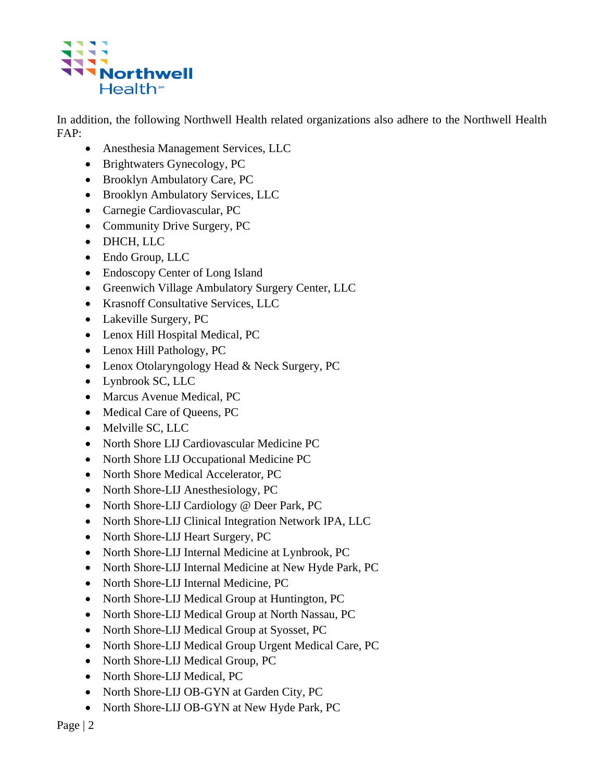

In addition, the following Northwell Health related organizations also adhere to the Northwell Health FAP:

- Anesthesia Management Services, LLC
- Brightwaters Gynecology, PC
- Brooklyn Ambulatory Care, PC
- Brooklyn Ambulatory Services, LLC
- Carnegie Cardiovascular, PC
- Community Drive Surgery, PC
- DHCH, LLC
- Endo Group, LLC
- Endoscopy Center of Long Island
- Greenwich Village Ambulatory Surgery Center, LLC
- Krasnoff Consultative Services, LLC
- Lakeville Surgery, PC
- Lenox Hill Hospital Medical, PC
- Lenox Hill Pathology, PC
- Lenox Otolaryngology Head & Neck Surgery, PC
- Lynbrook SC, LLC
- Marcus Avenue Medical, PC
- Medical Care of Queens, PC
- Melville SC, LLC
- North Shore LIJ Cardiovascular Medicine PC
- North Shore LIJ Occupational Medicine PC
- North Shore Medical Accelerator, PC
- North Shore-LIJ Anesthesiology, PC
- North Shore-LIJ Cardiology @ Deer Park, PC
- North Shore-LIJ Clinical Integration Network IPA, LLC
- North Shore-LIJ Heart Surgery, PC
- North Shore-LIJ Internal Medicine at Lynbrook, PC
- North Shore-LIJ Internal Medicine at New Hyde Park, PC
- North Shore-LIJ Internal Medicine, PC
- North Shore-LIJ Medical Group at Huntington, PC
- North Shore-LIJ Medical Group at North Nassau, PC
- North Shore-LIJ Medical Group at Syosset, PC
- North Shore-LIJ Medical Group Urgent Medical Care, PC
- North Shore-LIJ Medical Group, PC
- North Shore-LIJ Medical, PC
- North Shore-LIJ OB-GYN at Garden City, PC
- North Shore-LIJ OB-GYN at New Hyde Park, PC